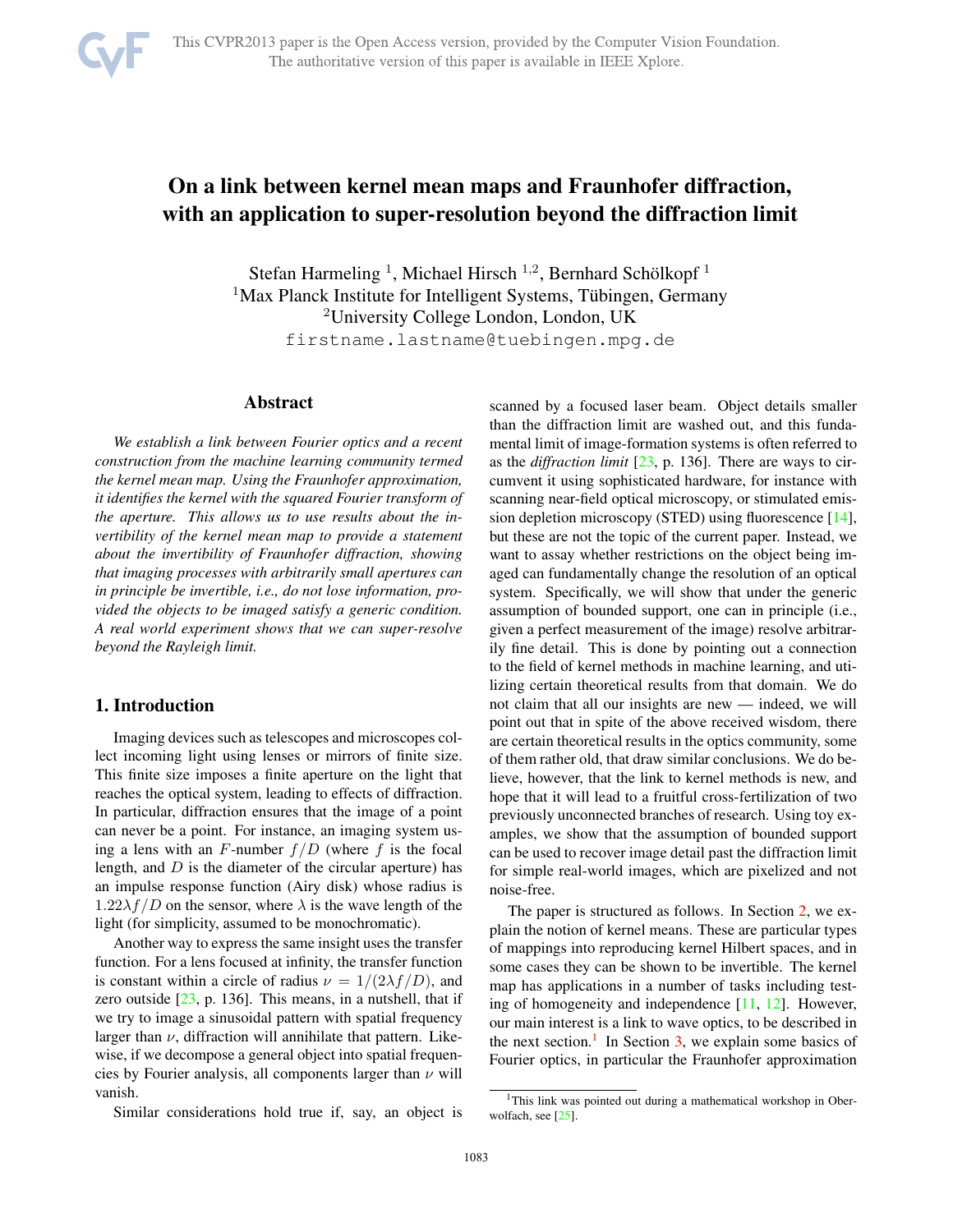

# On a link between kernel mean maps and Fraunhofer diffraction, with an application to super-resolution beyond the diffraction limit

Stefan Harmeling <sup>1</sup>, Michael Hirsch <sup>1,2</sup>, Bernhard Schölkopf <sup>1</sup>  $1$ Max Planck Institute for Intelligent Systems, Tübingen, Germany <sup>2</sup>University College London, London, UK

firstname.lastname@tuebingen.mpg.de

# Abstract

*We establish a link between Fourier optics and a recent construction from the machine learning community termed the kernel mean map. Using the Fraunhofer approximation, it identifies the kernel with the squared Fourier transform of the aperture. This allows us to use results about the invertibility of the kernel mean map to provide a statement about the invertibility of Fraunhofer diffraction, showing that imaging processes with arbitrarily small apertures can in principle be invertible, i.e., do not lose information, provided the objects to be imaged satisfy a generic condition. A real world experiment shows that we can super-resolve beyond the Rayleigh limit.*

## 1. Introduction

Imaging devices such as telescopes and microscopes collect incoming light using lenses or mirrors of finite size. This finite size imposes a finite aperture on the light that reaches the optical system, leading to effects of diffraction. In particular, diffraction ensures that the image of a point can never be a point. For instance, an imaging system using a lens with an F-number  $f/D$  (where f is the focal length, and  $D$  is the diameter of the circular aperture) has an impulse response function (Airy disk) whose radius is  $1.22\lambda f/D$  on the sensor, where  $\lambda$  is the wave length of the light (for simplicity, assumed to be monochromatic).

Another way to express the same insight uses the transfer function. For a lens focused at infinity, the transfer function is constant within a circle of radius  $\nu = 1/(2\lambda f/D)$ , and zero outside  $[23, p. 136]$ . This means, in a nutshell, that if we try to image a sinusoidal pattern with spatial frequency larger than  $\nu$ , diffraction will annihilate that pattern. Likewise, if we decompose a general object into spatial frequencies by Fourier analysis, all components larger than  $\nu$  will vanish.

Similar considerations hold true if, say, an object is

scanned by a focused laser beam. Object details smaller than the diffraction limit are washed out, and this fundamental limit of image-formation systems is often referred to as the *diffraction limit* [23, p. 136]. There are ways to circumvent it using sophisticated hardware, for instance with scanning near-field optical microscopy, or stimulated emission depletion microscopy (STED) using fluorescence [14], but these are not the topic of the current paper. Instead, we want to assay whether restrictions on the object being imaged can fundamentally change the resolution of an optical system. Specifically, we will show that under the generic assumption of bounded support, one can in principle (i.e., given a perfect measurement of the image) resolve arbitrarily fine detail. This is done by pointing out a connection to the field of kernel methods in machine learning, and utilizing certain theoretical results from that domain. We do not claim that all our insights are new — indeed, we will point out that in spite of the above received wisdom, there are certain theoretical results in the optics community, some of them rather old, that draw similar conclusions. We do believe, however, that the link to kernel methods is new, and hope that it will lead to a fruitful cross-fertilization of two previously unconnected branches of research. Using toy examples, we show that the assumption of bounded support can be used to recover image detail past the diffraction limit for simple real-world images, which are pixelized and not noise-free.

The paper is structured as follows. In Section 2, we explain the notion of kernel means. These are particular types of mappings into reproducing kernel Hilbert spaces, and in some cases they can be shown to be invertible. The kernel map has applications in a number of tasks including testing of homogeneity and independence [11, 12]. However, our main interest is a link to wave optics, to be described in the next section.<sup>1</sup> In Section 3, we explain some basics of Fourier optics, in particular the Fraunhofer approximation

<sup>&</sup>lt;sup>1</sup>This link was pointed out during a mathematical workshop in Oberwolfach, see [25].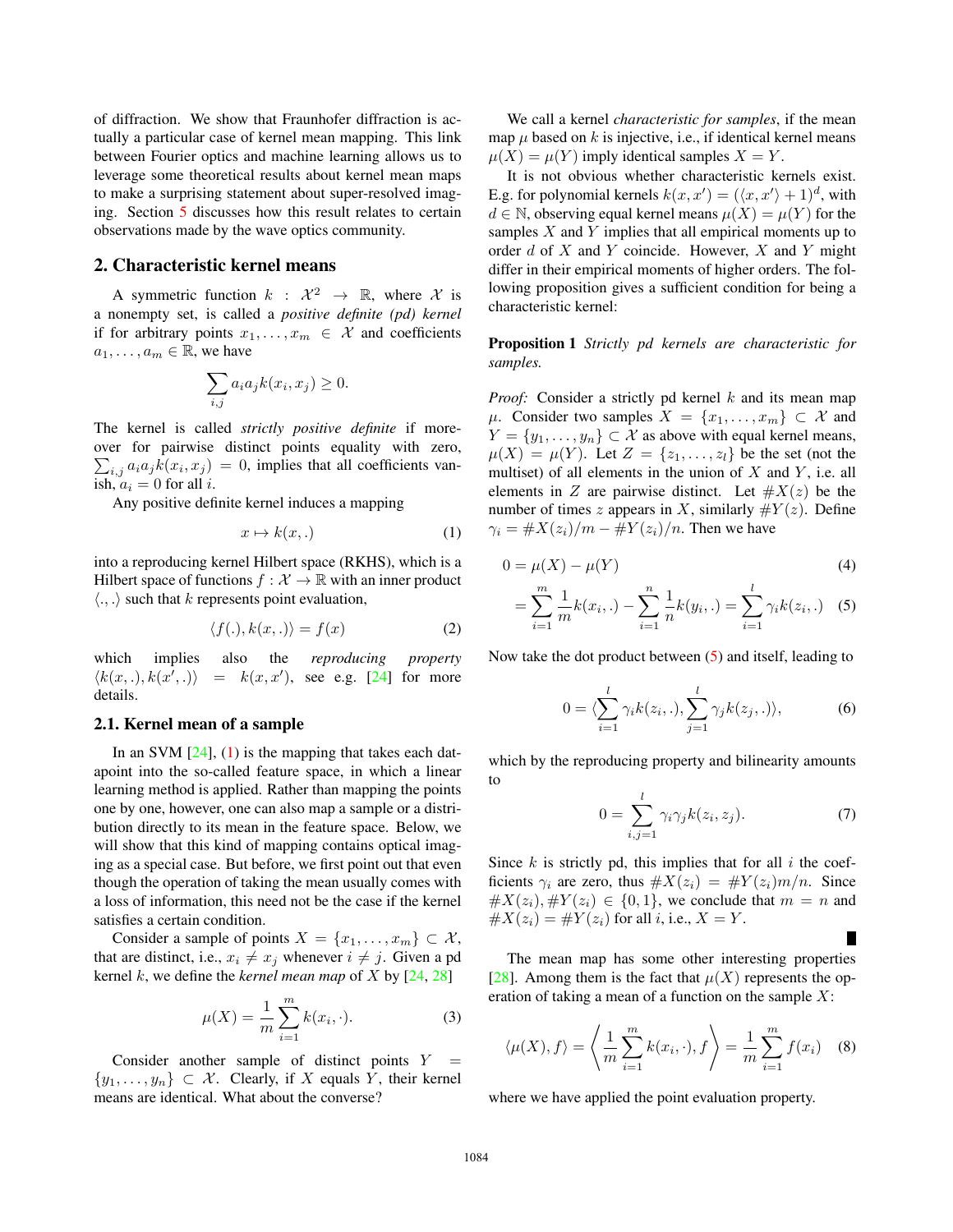of diffraction. We show that Fraunhofer diffraction is actually a particular case of kernel mean mapping. This link between Fourier optics and machine learning allows us to leverage some theoretical results about kernel mean maps to make a surprising statement about super-resolved imaging. Section 5 discusses how this result relates to certain observations made by the wave optics community.

# 2. Characteristic kernel means

A symmetric function  $k : \mathcal{X}^2 \to \mathbb{R}$ , where X is a nonempty set, is called a *positive definite (pd) kernel* if for arbitrary points  $x_1, \ldots, x_m \in \mathcal{X}$  and coefficients  $a_1,\ldots,a_m \in \mathbb{R}$ , we have

$$
\sum_{i,j} a_i a_j k(x_i, x_j) \ge 0.
$$

The kernel is called *strictly positive definite* if moreover for pairwise distinct points equality with zero,  $\sum_{i,j} a_i a_j k(x_i, x_j) = 0$ , implies that all coefficients vanish,  $a_i = 0$  for all i.

Any positive definite kernel induces a mapping

$$
x \mapsto k(x,.) \tag{1}
$$

into a reproducing kernel Hilbert space (RKHS), which is a Hilbert space of functions  $f : \mathcal{X} \to \mathbb{R}$  with an inner product  $\langle ., . \rangle$  such that k represents point evaluation,

$$
\langle f(.), k(x, .) \rangle = f(x) \tag{2}
$$

which implies also the *reproducing property*  $\langle k(x,.) , k(x',.) \rangle = k(x, x'),$  see e.g. [24] for more details.

#### 2.1. Kernel mean of a sample

In an SVM  $[24]$ ,  $(1)$  is the mapping that takes each datapoint into the so-called feature space, in which a linear learning method is applied. Rather than mapping the points one by one, however, one can also map a sample or a distribution directly to its mean in the feature space. Below, we will show that this kind of mapping contains optical imaging as a special case. But before, we first point out that even though the operation of taking the mean usually comes with a loss of information, this need not be the case if the kernel satisfies a certain condition.

Consider a sample of points  $X = \{x_1, \ldots, x_m\} \subset \mathcal{X}$ , that are distinct, i.e.,  $x_i \neq x_j$  whenever  $i \neq j$ . Given a pd kernel k, we define the *kernel mean map* of X by [24, 28]

$$
\mu(X) = \frac{1}{m} \sum_{i=1}^{m} k(x_i, \cdot).
$$
 (3)

Consider another sample of distinct points  $Y =$  $\{y_1,\ldots,y_n\}\subset\mathcal{X}$ . Clearly, if X equals Y, their kernel means are identical. What about the converse?

We call a kernel *characteristic for samples*, if the mean map  $\mu$  based on k is injective, i.e., if identical kernel means  $\mu(X) = \mu(Y)$  imply identical samples  $X = Y$ .

It is not obvious whether characteristic kernels exist. E.g. for polynomial kernels  $k(x, x') = (\langle x, x' \rangle + 1)^d$ , with  $d \in \mathbb{N}$ , observing equal kernel means  $\mu(X) = \mu(Y)$  for the samples  $X$  and  $Y$  implies that all empirical moments up to order  $d$  of  $X$  and  $Y$  coincide. However,  $X$  and  $Y$  might differ in their empirical moments of higher orders. The following proposition gives a sufficient condition for being a characteristic kernel:

Proposition 1 *Strictly pd kernels are characteristic for samples.*

*Proof:* Consider a strictly pd kernel k and its mean map μ. Consider two samples  $X = \{x_1, \ldots, x_m\}$  ⊂ X and  $Y = \{y_1, \ldots, y_n\} \subset \mathcal{X}$  as above with equal kernel means,  $\mu(X) = \mu(Y)$ . Let  $Z = \{z_1, \ldots, z_l\}$  be the set (not the multiset) of all elements in the union of  $X$  and  $Y$ , i.e. all elements in Z are pairwise distinct. Let  $#X(z)$  be the number of times z appears in X, similarly  $\#Y(z)$ . Define  $\gamma_i = \#X(z_i)/m - \#Y(z_i)/n$ . Then we have

$$
0 = \mu(X) - \mu(Y) \tag{4}
$$

$$
= \sum_{i=1}^{m} \frac{1}{m} k(x_i,.) - \sum_{i=1}^{n} \frac{1}{n} k(y_i,.) = \sum_{i=1}^{l} \gamma_i k(z_i,.)
$$
 (5)

Now take the dot product between (5) and itself, leading to

$$
0 = \langle \sum_{i=1}^{l} \gamma_i k(z_i,.) \rangle, \sum_{j=1}^{l} \gamma_j k(z_j,.) \rangle,
$$
 (6)

which by the reproducing property and bilinearity amounts to

$$
0 = \sum_{i,j=1}^{l} \gamma_i \gamma_j k(z_i, z_j).
$$
 (7)

ш

Since  $k$  is strictly pd, this implies that for all  $i$  the coefficients  $\gamma_i$  are zero, thus  $\#X(z_i)=\#Y(z_i)m/n$ . Since  $\#X(z_i), \#Y(z_i) \in \{0, 1\}$ , we conclude that  $m = n$  and  $\#X(z_i)=\#Y(z_i)$  for all i, i.e.,  $X = Y$ .

The mean map has some other interesting properties [28]. Among them is the fact that  $\mu(X)$  represents the operation of taking a mean of a function on the sample  $X$ :

$$
\langle \mu(X), f \rangle = \left\langle \frac{1}{m} \sum_{i=1}^{m} k(x_i, \cdot), f \right\rangle = \frac{1}{m} \sum_{i=1}^{m} f(x_i) \quad (8)
$$

where we have applied the point evaluation property.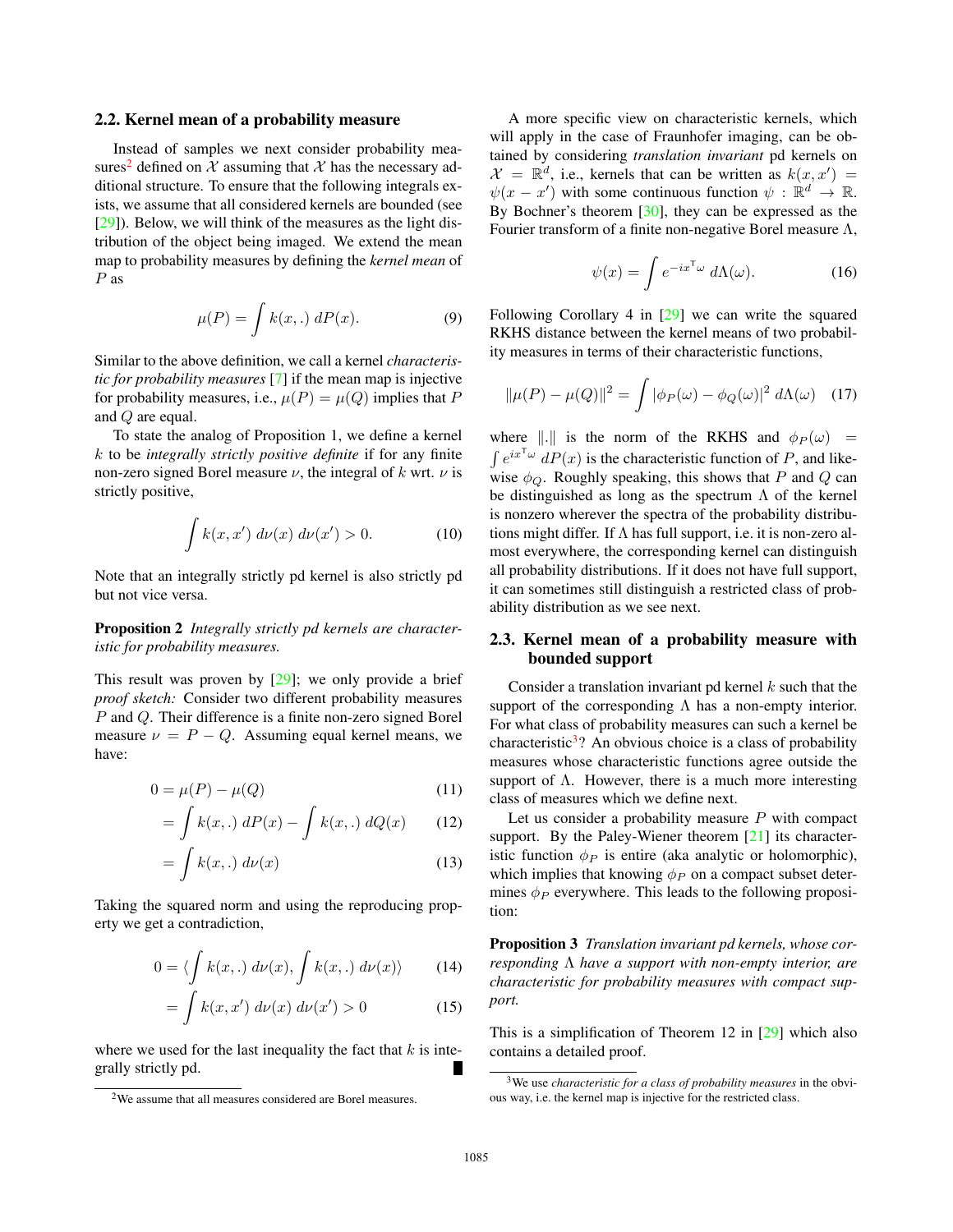## 2.2. Kernel mean of a probability measure

Instead of samples we next consider probability measures<sup>2</sup> defined on X assuming that X has the necessary additional structure. To ensure that the following integrals exists, we assume that all considered kernels are bounded (see [29]). Below, we will think of the measures as the light distribution of the object being imaged. We extend the mean map to probability measures by defining the *kernel mean* of P as

$$
\mu(P) = \int k(x,.) \, dP(x). \tag{9}
$$

Similar to the above definition, we call a kernel *characteristic for probability measures* [7] if the mean map is injective for probability measures, i.e.,  $\mu(P) = \mu(Q)$  implies that P and Q are equal.

To state the analog of Proposition 1, we define a kernel k to be *integrally strictly positive definite* if for any finite non-zero signed Borel measure  $\nu$ , the integral of k wrt.  $\nu$  is strictly positive,

$$
\int k(x, x') d\nu(x) d\nu(x') > 0.
$$
 (10)

Note that an integrally strictly pd kernel is also strictly pd but not vice versa.

Proposition 2 *Integrally strictly pd kernels are characteristic for probability measures.*

This result was proven by  $[29]$ ; we only provide a brief *proof sketch:* Consider two different probability measures P and Q. Their difference is a finite non-zero signed Borel measure  $\nu = P - Q$ . Assuming equal kernel means, we have:

$$
0 = \mu(P) - \mu(Q) \tag{11}
$$

$$
= \int k(x,.) \, dP(x) - \int k(x,.) \, dQ(x) \tag{12}
$$

$$
= \int k(x,.) \, d\nu(x) \tag{13}
$$

Taking the squared norm and using the reproducing property we get a contradiction,

$$
0 = \langle \int k(x,.) \, d\nu(x), \int k(x,.) \, d\nu(x) \rangle \tag{14}
$$

$$
= \int k(x, x') d\nu(x) d\nu(x') > 0 \tag{15}
$$

where we used for the last inequality the fact that  $k$  is integrally strictly pd.

A more specific view on characteristic kernels, which will apply in the case of Fraunhofer imaging, can be obtained by considering *translation invariant* pd kernels on  $\mathcal{X} = \mathbb{R}^d$ , i.e., kernels that can be written as  $k(x, x') =$  $\psi(x-x')$  with some continuous function  $\psi : \mathbb{R}^d \to \mathbb{R}$ . By Bochner's theorem [30], they can be expressed as the Fourier transform of a finite non-negative Borel measure Λ,

$$
\psi(x) = \int e^{-ix^{\mathsf{T}}\omega} \, d\Lambda(\omega). \tag{16}
$$

Following Corollary 4 in [29] we can write the squared RKHS distance between the kernel means of two probability measures in terms of their characteristic functions,

$$
\|\mu(P) - \mu(Q)\|^2 = \int |\phi_P(\omega) - \phi_Q(\omega)|^2 d\Lambda(\omega) \quad (17)
$$

where ||.|| is the norm of the RKHS and  $\phi_P(\omega)$  =  $\int e^{ix^{\dagger}\omega} dP(x)$  is the characteristic function of P, and likewise  $\phi_O$ . Roughly speaking, this shows that P and Q can be distinguished as long as the spectrum  $\Lambda$  of the kernel is nonzero wherever the spectra of the probability distributions might differ. If  $\Lambda$  has full support, i.e. it is non-zero almost everywhere, the corresponding kernel can distinguish all probability distributions. If it does not have full support, it can sometimes still distinguish a restricted class of probability distribution as we see next.

## 2.3. Kernel mean of a probability measure with bounded support

Consider a translation invariant pd kernel  $k$  such that the support of the corresponding  $\Lambda$  has a non-empty interior. For what class of probability measures can such a kernel be characteristic<sup>3</sup>? An obvious choice is a class of probability measures whose characteristic functions agree outside the support of  $\Lambda$ . However, there is a much more interesting class of measures which we define next.

Let us consider a probability measure  $P$  with compact support. By the Paley-Wiener theorem  $[21]$  its characteristic function  $\phi_P$  is entire (aka analytic or holomorphic), which implies that knowing  $\phi_P$  on a compact subset determines  $\phi_P$  everywhere. This leads to the following proposition:

Proposition 3 *Translation invariant pd kernels, whose corresponding* Λ *have a support with non-empty interior, are characteristic for probability measures with compact support.*

This is a simplification of Theorem 12 in [29] which also contains a detailed proof.

<sup>2</sup>We assume that all measures considered are Borel measures.

<sup>3</sup>We use *characteristic for a class of probability measures* in the obvious way, i.e. the kernel map is injective for the restricted class.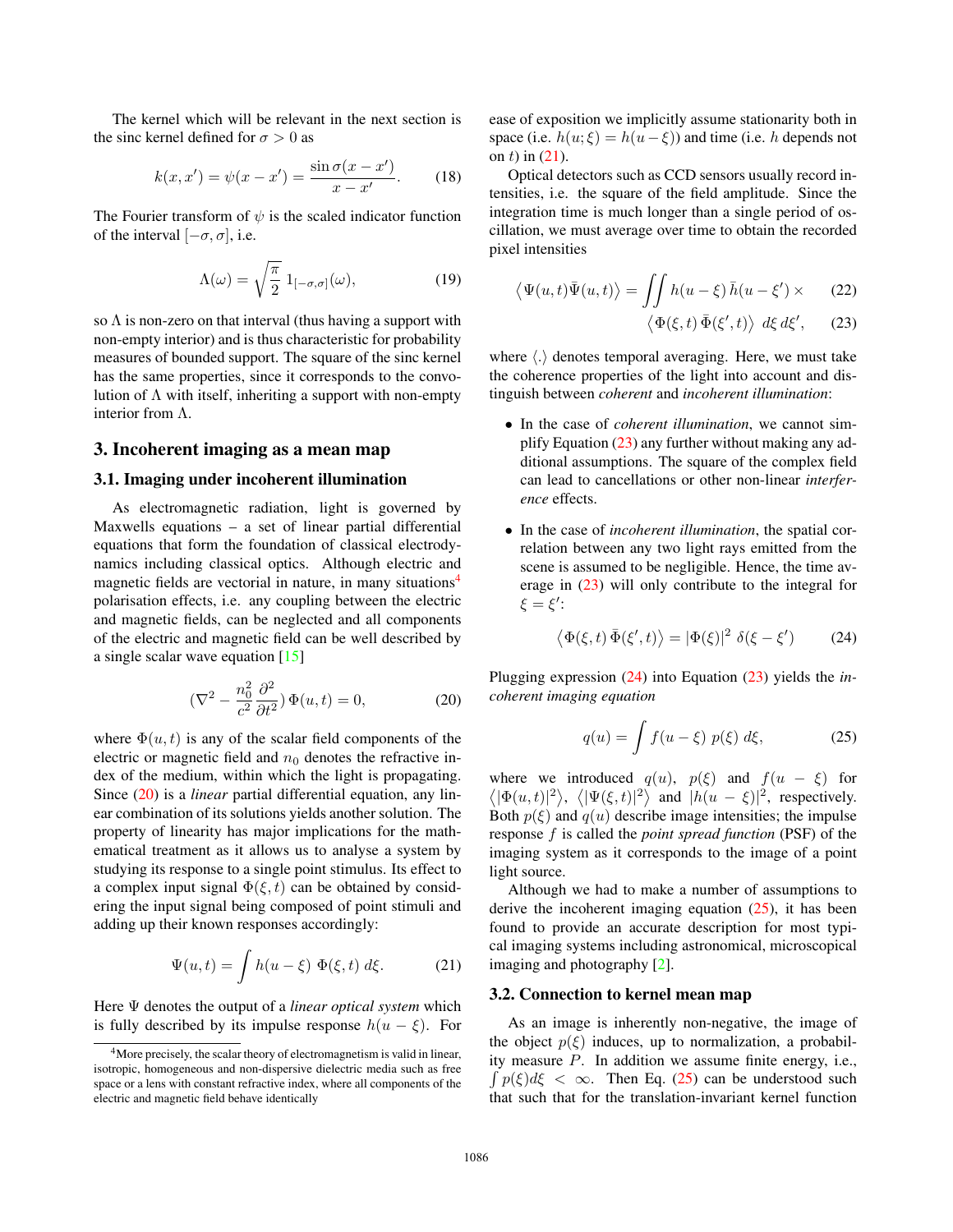The kernel which will be relevant in the next section is the sinc kernel defined for  $\sigma > 0$  as

$$
k(x, x') = \psi(x - x') = \frac{\sin \sigma(x - x')}{x - x'}.
$$
 (18)

The Fourier transform of  $\psi$  is the scaled indicator function of the interval  $[-\sigma, \sigma]$ , i.e.

$$
\Lambda(\omega) = \sqrt{\frac{\pi}{2}} 1_{[-\sigma,\sigma]}(\omega), \tag{19}
$$

so  $\Lambda$  is non-zero on that interval (thus having a support with non-empty interior) and is thus characteristic for probability measures of bounded support. The square of the sinc kernel has the same properties, since it corresponds to the convolution of Λ with itself, inheriting a support with non-empty interior from Λ.

#### 3. Incoherent imaging as a mean map

#### 3.1. Imaging under incoherent illumination

As electromagnetic radiation, light is governed by Maxwells equations – a set of linear partial differential equations that form the foundation of classical electrodynamics including classical optics. Although electric and magnetic fields are vectorial in nature, in many situations<sup>4</sup> polarisation effects, i.e. any coupling between the electric and magnetic fields, can be neglected and all components of the electric and magnetic field can be well described by a single scalar wave equation [15]

$$
(\nabla^2 - \frac{n_0^2}{c^2} \frac{\partial^2}{\partial t^2}) \Phi(u, t) = 0,
$$
\n(20)

where  $\Phi(u, t)$  is any of the scalar field components of the electric or magnetic field and  $n_0$  denotes the refractive index of the medium, within which the light is propagating. Since (20) is a *linear* partial differential equation, any linear combination of its solutions yields another solution. The property of linearity has major implications for the mathematical treatment as it allows us to analyse a system by studying its response to a single point stimulus. Its effect to a complex input signal  $\Phi(\xi, t)$  can be obtained by considering the input signal being composed of point stimuli and adding up their known responses accordingly:

$$
\Psi(u,t) = \int h(u-\xi) \Phi(\xi, t) d\xi.
$$
 (21)

Here Ψ denotes the output of a *linear optical system* which is fully described by its impulse response  $h(u - \xi)$ . For ease of exposition we implicitly assume stationarity both in space (i.e.  $h(u; \xi) = h(u - \xi)$ ) and time (i.e. h depends not on t) in  $(21)$ .

Optical detectors such as CCD sensors usually record intensities, i.e. the square of the field amplitude. Since the integration time is much longer than a single period of oscillation, we must average over time to obtain the recorded pixel intensities

$$
\langle \Psi(u,t)\bar{\Psi}(u,t)\rangle = \iint h(u-\xi)\,\bar{h}(u-\xi') \times \qquad (22)
$$

$$
\langle \Phi(\xi,t)\,\bar{\Phi}(\xi',t)\rangle \,d\xi \,d\xi', \qquad (23)
$$

where  $\langle . \rangle$  denotes temporal averaging. Here, we must take the coherence properties of the light into account and distinguish between *coherent* and *incoherent illumination*:

- In the case of *coherent illumination*, we cannot simplify Equation (23) any further without making any additional assumptions. The square of the complex field can lead to cancellations or other non-linear *interference* effects.
- In the case of *incoherent illumination*, the spatial correlation between any two light rays emitted from the scene is assumed to be negligible. Hence, the time average in (23) will only contribute to the integral for  $\xi = \xi'$ :

$$
\langle \Phi(\xi, t) \,\overline{\Phi}(\xi', t) \rangle = |\Phi(\xi)|^2 \,\delta(\xi - \xi') \qquad (24)
$$

Plugging expression (24) into Equation (23) yields the *incoherent imaging equation*

$$
q(u) = \int f(u - \xi) p(\xi) d\xi, \qquad (25)
$$

where we introduced  $q(u)$ ,  $p(\xi)$  and  $f(u - \xi)$  for  $\langle |\Phi(u,t)|^2 \rangle$ ,  $\langle |\Psi(\xi,t)|^2 \rangle$  and  $|h(u-\xi)|^2$ , respectively. Both  $p(\xi)$  and  $q(u)$  describe image intensities; the impulse response f is called the *point spread function* (PSF) of the imaging system as it corresponds to the image of a point light source.

Although we had to make a number of assumptions to derive the incoherent imaging equation (25), it has been found to provide an accurate description for most typical imaging systems including astronomical, microscopical imaging and photography [2].

#### 3.2. Connection to kernel mean map

As an image is inherently non-negative, the image of the object  $p(\xi)$  induces, up to normalization, a probability measure P. In addition we assume finite energy, i.e.,  $\int p(\xi)d\xi < \infty$ . Then Eq. (25) can be understood such that such that for the translation-invariant kernel function

<sup>4</sup>More precisely, the scalar theory of electromagnetism is valid in linear, isotropic, homogeneous and non-dispersive dielectric media such as free space or a lens with constant refractive index, where all components of the electric and magnetic field behave identically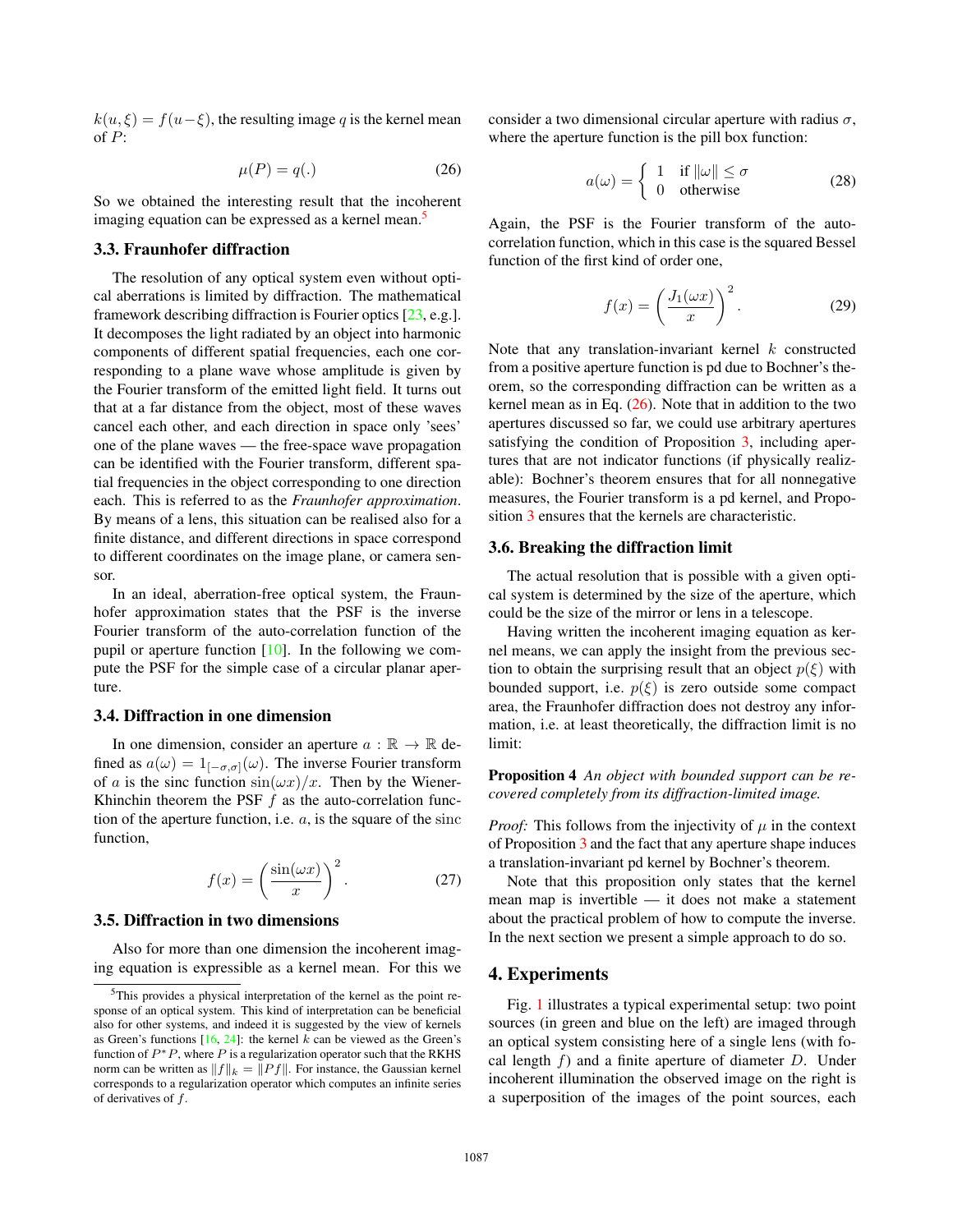$k(u, \xi) = f(u-\xi)$ , the resulting image q is the kernel mean of P:

$$
\mu(P) = q(.) \tag{26}
$$

So we obtained the interesting result that the incoherent imaging equation can be expressed as a kernel mean.<sup>5</sup>

#### 3.3. Fraunhofer diffraction

The resolution of any optical system even without optical aberrations is limited by diffraction. The mathematical framework describing diffraction is Fourier optics [23, e.g.]. It decomposes the light radiated by an object into harmonic components of different spatial frequencies, each one corresponding to a plane wave whose amplitude is given by the Fourier transform of the emitted light field. It turns out that at a far distance from the object, most of these waves cancel each other, and each direction in space only 'sees' one of the plane waves — the free-space wave propagation can be identified with the Fourier transform, different spatial frequencies in the object corresponding to one direction each. This is referred to as the *Fraunhofer approximation*. By means of a lens, this situation can be realised also for a finite distance, and different directions in space correspond to different coordinates on the image plane, or camera sensor.

In an ideal, aberration-free optical system, the Fraunhofer approximation states that the PSF is the inverse Fourier transform of the auto-correlation function of the pupil or aperture function [10]. In the following we compute the PSF for the simple case of a circular planar aperture.

# 3.4. Diffraction in one dimension

In one dimension, consider an aperture  $a : \mathbb{R} \to \mathbb{R}$  defined as  $a(\omega)=1_{[-\sigma,\sigma]}(\omega)$ . The inverse Fourier transform of a is the sinc function  $\sin(\omega x)/x$ . Then by the Wiener-Khinchin theorem the PSF  $f$  as the auto-correlation function of the aperture function, i.e.  $a$ , is the square of the sinc function,

$$
f(x) = \left(\frac{\sin(\omega x)}{x}\right)^2.
$$
 (27)

## 3.5. Diffraction in two dimensions

Also for more than one dimension the incoherent imaging equation is expressible as a kernel mean. For this we consider a two dimensional circular aperture with radius  $\sigma$ , where the aperture function is the pill box function:

$$
a(\omega) = \begin{cases} 1 & \text{if } ||\omega|| \le \sigma \\ 0 & \text{otherwise} \end{cases}
$$
 (28)

Again, the PSF is the Fourier transform of the autocorrelation function, which in this case is the squared Bessel function of the first kind of order one,

$$
f(x) = \left(\frac{J_1(\omega x)}{x}\right)^2.
$$
 (29)

Note that any translation-invariant kernel  $k$  constructed from a positive aperture function is pd due to Bochner's theorem, so the corresponding diffraction can be written as a kernel mean as in Eq.  $(26)$ . Note that in addition to the two apertures discussed so far, we could use arbitrary apertures satisfying the condition of Proposition 3, including apertures that are not indicator functions (if physically realizable): Bochner's theorem ensures that for all nonnegative measures, the Fourier transform is a pd kernel, and Proposition 3 ensures that the kernels are characteristic.

# 3.6. Breaking the diffraction limit

The actual resolution that is possible with a given optical system is determined by the size of the aperture, which could be the size of the mirror or lens in a telescope.

Having written the incoherent imaging equation as kernel means, we can apply the insight from the previous section to obtain the surprising result that an object  $p(\xi)$  with bounded support, i.e.  $p(\xi)$  is zero outside some compact area, the Fraunhofer diffraction does not destroy any information, i.e. at least theoretically, the diffraction limit is no limit:

Proposition 4 *An object with bounded support can be recovered completely from its diffraction-limited image.*

*Proof:* This follows from the injectivity of  $\mu$  in the context of Proposition 3 and the fact that any aperture shape induces a translation-invariant pd kernel by Bochner's theorem.

Note that this proposition only states that the kernel mean map is invertible — it does not make a statement about the practical problem of how to compute the inverse. In the next section we present a simple approach to do so.

## 4. Experiments

Fig. 1 illustrates a typical experimental setup: two point sources (in green and blue on the left) are imaged through an optical system consisting here of a single lens (with focal length  $f$ ) and a finite aperture of diameter  $D$ . Under incoherent illumination the observed image on the right is a superposition of the images of the point sources, each

<sup>5</sup>This provides a physical interpretation of the kernel as the point response of an optical system. This kind of interpretation can be beneficial also for other systems, and indeed it is suggested by the view of kernels as Green's functions  $[16, 24]$ : the kernel k can be viewed as the Green's function of  $P^*P$ , where P is a regularization operator such that the RKHS norm can be written as  $||f||_k = ||Pf||$ . For instance, the Gaussian kernel corresponds to a regularization operator which computes an infinite series of derivatives of f.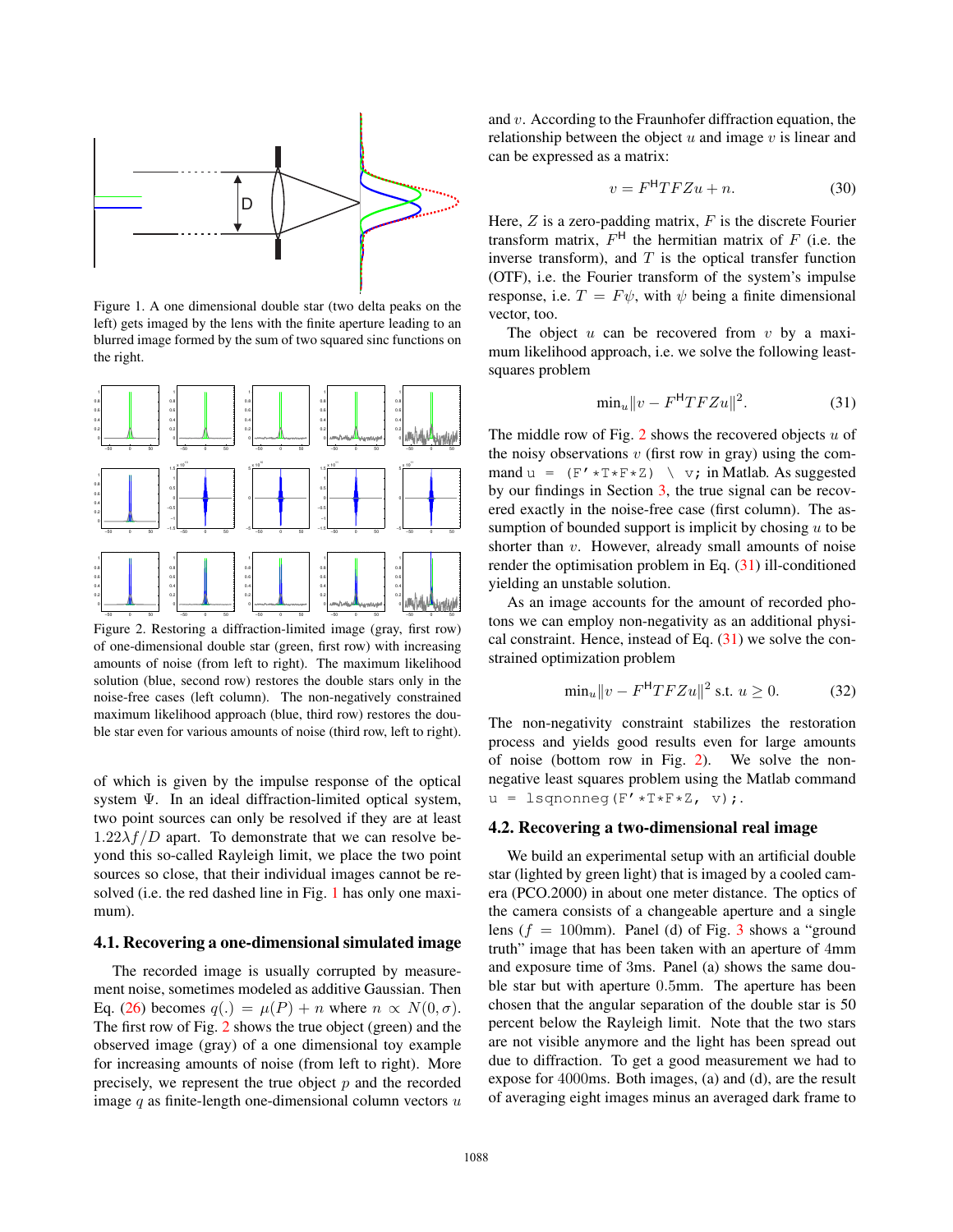

Figure 1. A one dimensional double star (two delta peaks on the left) gets imaged by the lens with the finite aperture leading to an blurred image formed by the sum of two squared sinc functions on the right.



Figure 2. Restoring a diffraction-limited image (gray, first row) of one-dimensional double star (green, first row) with increasing amounts of noise (from left to right). The maximum likelihood solution (blue, second row) restores the double stars only in the noise-free cases (left column). The non-negatively constrained maximum likelihood approach (blue, third row) restores the double star even for various amounts of noise (third row, left to right).

of which is given by the impulse response of the optical system Ψ. In an ideal diffraction-limited optical system, two point sources can only be resolved if they are at least  $1.22\lambda f/D$  apart. To demonstrate that we can resolve beyond this so-called Rayleigh limit, we place the two point sources so close, that their individual images cannot be resolved (i.e. the red dashed line in Fig. 1 has only one maximum).

#### 4.1. Recovering a one-dimensional simulated image

The recorded image is usually corrupted by measurement noise, sometimes modeled as additive Gaussian. Then Eq. (26) becomes  $q(.) = \mu(P) + n$  where  $n \propto N(0, \sigma)$ . The first row of Fig. 2 shows the true object (green) and the observed image (gray) of a one dimensional toy example for increasing amounts of noise (from left to right). More precisely, we represent the true object  $p$  and the recorded image  $q$  as finite-length one-dimensional column vectors  $u$  and v. According to the Fraunhofer diffraction equation, the relationship between the object  $u$  and image  $v$  is linear and can be expressed as a matrix:

$$
v = F^{\mathsf{H}} T F Z u + n. \tag{30}
$$

Here,  $Z$  is a zero-padding matrix,  $F$  is the discrete Fourier transform matrix,  $F<sup>H</sup>$  the hermitian matrix of F (i.e. the inverse transform), and  $T$  is the optical transfer function (OTF), i.e. the Fourier transform of the system's impulse response, i.e.  $T = F\psi$ , with  $\psi$  being a finite dimensional vector, too.

The object  $u$  can be recovered from  $v$  by a maximum likelihood approach, i.e. we solve the following leastsquares problem

$$
\min_{u} \|v - F^{\mathsf{H}} T F Z u\|^{2}.
$$
 (31)

The middle row of Fig.  $2$  shows the recovered objects  $u$  of the noisy observations  $v$  (first row in gray) using the command  $u = (F' * T * F * Z) \setminus v$ ; in Matlab. As suggested by our findings in Section 3, the true signal can be recovered exactly in the noise-free case (first column). The assumption of bounded support is implicit by chosing  $u$  to be shorter than  $v$ . However, already small amounts of noise render the optimisation problem in Eq. (31) ill-conditioned yielding an unstable solution.

As an image accounts for the amount of recorded photons we can employ non-negativity as an additional physical constraint. Hence, instead of Eq.  $(31)$  we solve the constrained optimization problem

$$
\min_{u} \left\| v - F^{\mathsf{H}} T F Z u \right\|^{2} \text{ s.t. } u \ge 0. \tag{32}
$$

The non-negativity constraint stabilizes the restoration process and yields good results even for large amounts of noise (bottom row in Fig. 2). We solve the nonnegative least squares problem using the Matlab command  $u = 1$ sqnonneg( $F' * T * F * Z$ , v);.

#### 4.2. Recovering a two-dimensional real image

We build an experimental setup with an artificial double star (lighted by green light) that is imaged by a cooled camera (PCO.2000) in about one meter distance. The optics of the camera consists of a changeable aperture and a single lens ( $f = 100$ mm). Panel (d) of Fig. 3 shows a "ground truth" image that has been taken with an aperture of 4mm and exposure time of 3ms. Panel (a) shows the same double star but with aperture 0.5mm. The aperture has been chosen that the angular separation of the double star is 50 percent below the Rayleigh limit. Note that the two stars are not visible anymore and the light has been spread out due to diffraction. To get a good measurement we had to expose for 4000ms. Both images, (a) and (d), are the result of averaging eight images minus an averaged dark frame to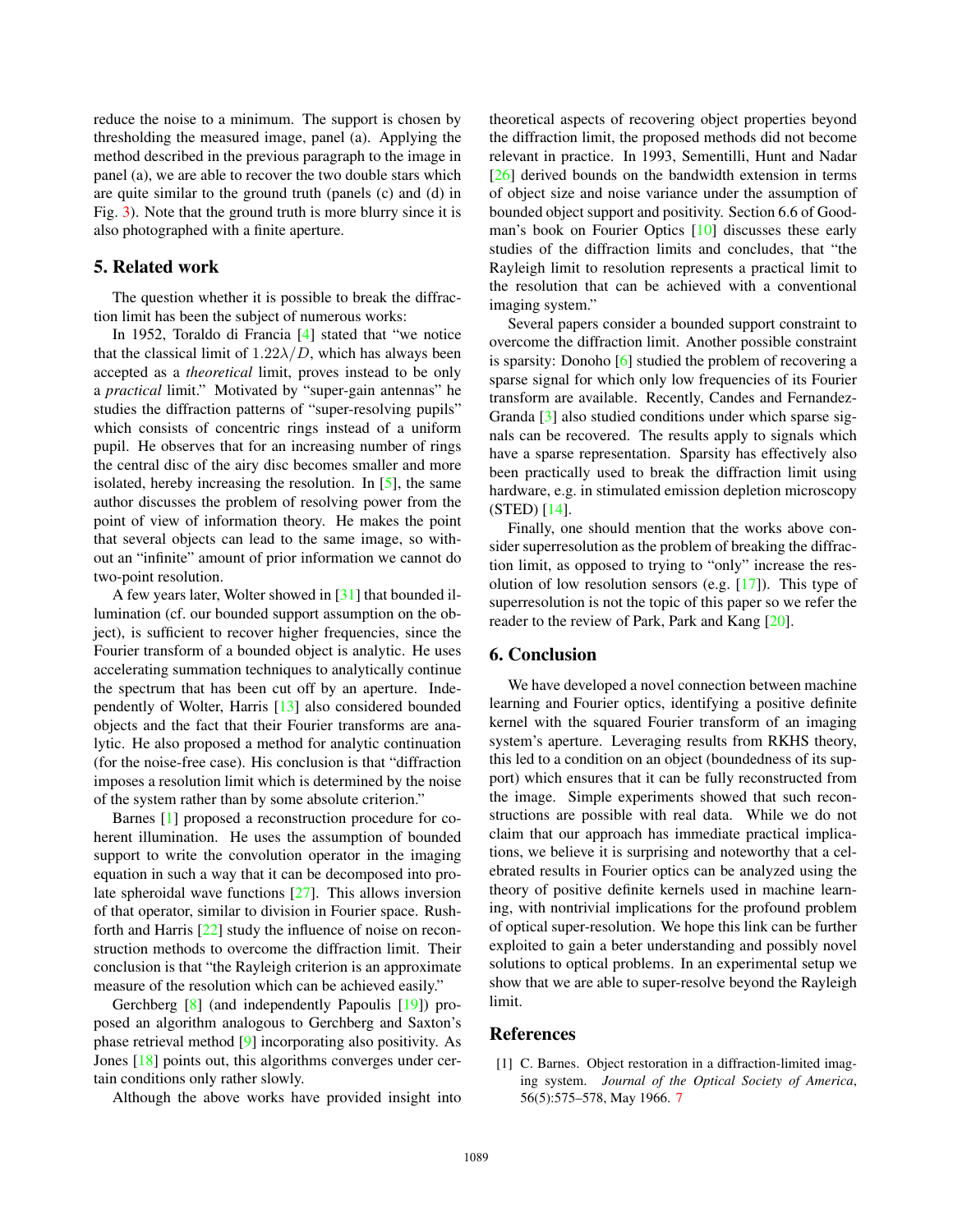reduce the noise to a minimum. The support is chosen by thresholding the measured image, panel (a). Applying the method described in the previous paragraph to the image in panel (a), we are able to recover the two double stars which are quite similar to the ground truth (panels (c) and (d) in Fig. 3). Note that the ground truth is more blurry since it is also photographed with a finite aperture.

## 5. Related work

The question whether it is possible to break the diffraction limit has been the subject of numerous works:

In 1952, Toraldo di Francia [4] stated that "we notice that the classical limit of  $1.22\lambda/D$ , which has always been accepted as a *theoretical* limit, proves instead to be only a *practical* limit." Motivated by "super-gain antennas" he studies the diffraction patterns of "super-resolving pupils" which consists of concentric rings instead of a uniform pupil. He observes that for an increasing number of rings the central disc of the airy disc becomes smaller and more isolated, hereby increasing the resolution. In [5], the same author discusses the problem of resolving power from the point of view of information theory. He makes the point that several objects can lead to the same image, so without an "infinite" amount of prior information we cannot do two-point resolution.

A few years later, Wolter showed in [31] that bounded illumination (cf. our bounded support assumption on the object), is sufficient to recover higher frequencies, since the Fourier transform of a bounded object is analytic. He uses accelerating summation techniques to analytically continue the spectrum that has been cut off by an aperture. Independently of Wolter, Harris [13] also considered bounded objects and the fact that their Fourier transforms are analytic. He also proposed a method for analytic continuation (for the noise-free case). His conclusion is that "diffraction imposes a resolution limit which is determined by the noise of the system rather than by some absolute criterion."

Barnes [1] proposed a reconstruction procedure for coherent illumination. He uses the assumption of bounded support to write the convolution operator in the imaging equation in such a way that it can be decomposed into prolate spheroidal wave functions [27]. This allows inversion of that operator, similar to division in Fourier space. Rushforth and Harris [22] study the influence of noise on reconstruction methods to overcome the diffraction limit. Their conclusion is that "the Rayleigh criterion is an approximate measure of the resolution which can be achieved easily."

Gerchberg [8] (and independently Papoulis [19]) proposed an algorithm analogous to Gerchberg and Saxton's phase retrieval method [9] incorporating also positivity. As Jones [18] points out, this algorithms converges under certain conditions only rather slowly.

Although the above works have provided insight into

theoretical aspects of recovering object properties beyond the diffraction limit, the proposed methods did not become relevant in practice. In 1993, Sementilli, Hunt and Nadar [26] derived bounds on the bandwidth extension in terms of object size and noise variance under the assumption of bounded object support and positivity. Section 6.6 of Goodman's book on Fourier Optics [10] discusses these early studies of the diffraction limits and concludes, that "the Rayleigh limit to resolution represents a practical limit to the resolution that can be achieved with a conventional imaging system."

Several papers consider a bounded support constraint to overcome the diffraction limit. Another possible constraint is sparsity: Donoho [6] studied the problem of recovering a sparse signal for which only low frequencies of its Fourier transform are available. Recently, Candes and Fernandez-Granda [3] also studied conditions under which sparse signals can be recovered. The results apply to signals which have a sparse representation. Sparsity has effectively also been practically used to break the diffraction limit using hardware, e.g. in stimulated emission depletion microscopy (STED) [14].

Finally, one should mention that the works above consider superresolution as the problem of breaking the diffraction limit, as opposed to trying to "only" increase the resolution of low resolution sensors (e.g. [17]). This type of superresolution is not the topic of this paper so we refer the reader to the review of Park, Park and Kang [20].

#### 6. Conclusion

We have developed a novel connection between machine learning and Fourier optics, identifying a positive definite kernel with the squared Fourier transform of an imaging system's aperture. Leveraging results from RKHS theory, this led to a condition on an object (boundedness of its support) which ensures that it can be fully reconstructed from the image. Simple experiments showed that such reconstructions are possible with real data. While we do not claim that our approach has immediate practical implications, we believe it is surprising and noteworthy that a celebrated results in Fourier optics can be analyzed using the theory of positive definite kernels used in machine learning, with nontrivial implications for the profound problem of optical super-resolution. We hope this link can be further exploited to gain a beter understanding and possibly novel solutions to optical problems. In an experimental setup we show that we are able to super-resolve beyond the Rayleigh limit.

## References

[1] C. Barnes. Object restoration in a diffraction-limited imaging system. *Journal of the Optical Society of America*, 56(5):575–578, May 1966. 7